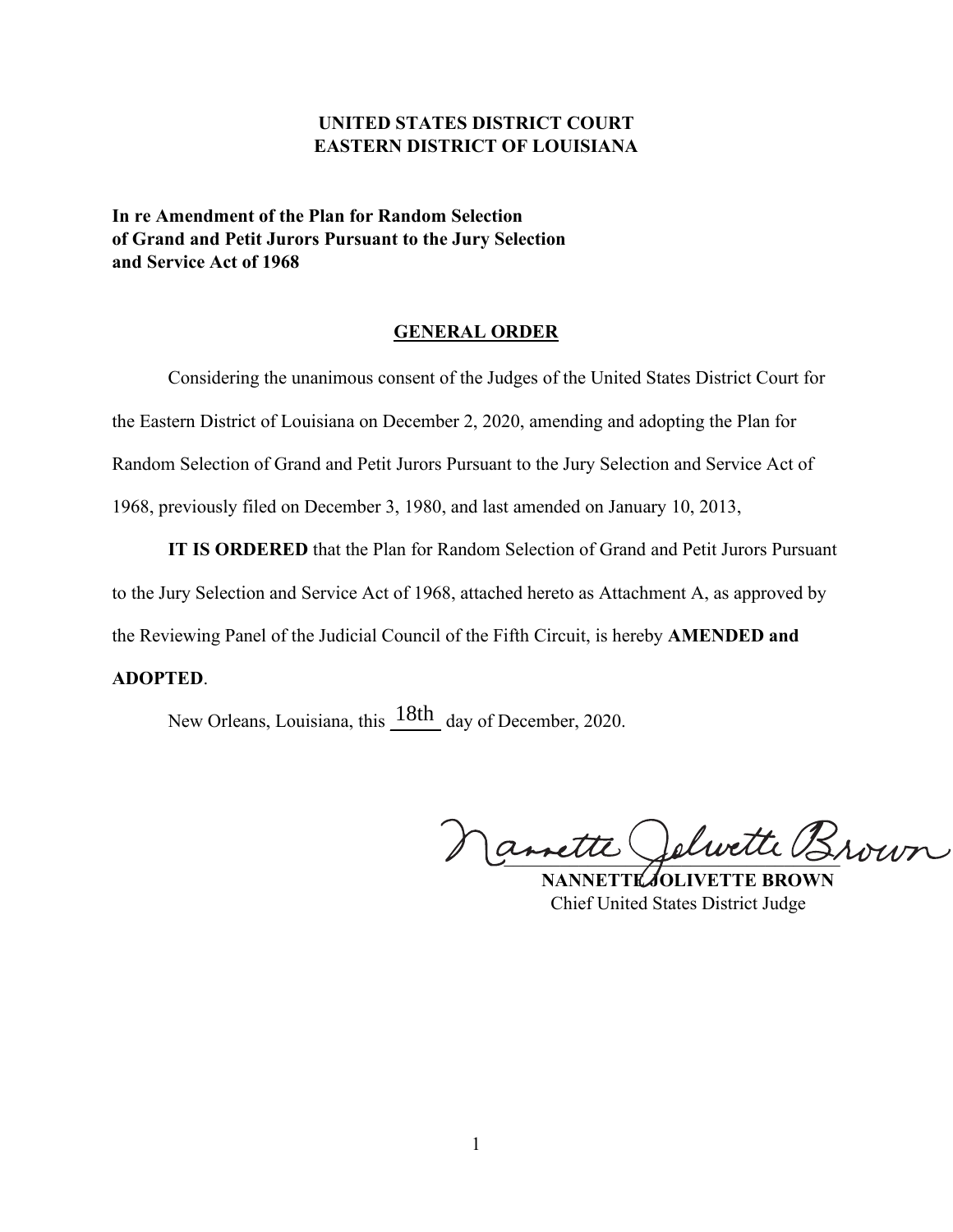# **UNITED STATES DISTRICT COURT EASTERN DISTRICT OF LOUISIANA**

**In re Amendment of the Plan for Random Selection of Grand and Petit Jurors Pursuant to the Jury Selection and Service Act of 1968**

## **GENERAL ORDER**

Considering the unanimous consent of the Judges of the United States District Court for the Eastern District of Louisiana on December 2, 2020, amending and adopting the Plan for Random Selection of Grand and Petit Jurors Pursuant to the Jury Selection and Service Act of 1968, previously filed on December 3, 1980, and last amended on January 10, 2013,

**IT IS ORDERED** that the Plan for Random Selection of Grand and Petit Jurors Pursuant to the Jury Selection and Service Act of 1968, attached hereto as Attachment A, as approved by the Reviewing Panel of the Judicial Council of the Fifth Circuit, is hereby **AMENDED and** 

# **ADOPTED**.

New Orleans, Louisiana, this  $\frac{18\text{th}}{180}$  day of December, 2020.

 $\bigcap$ amette Jelwette Brown

 **NANNETTE JOLIVETTE BROWN** Chief United States District Judge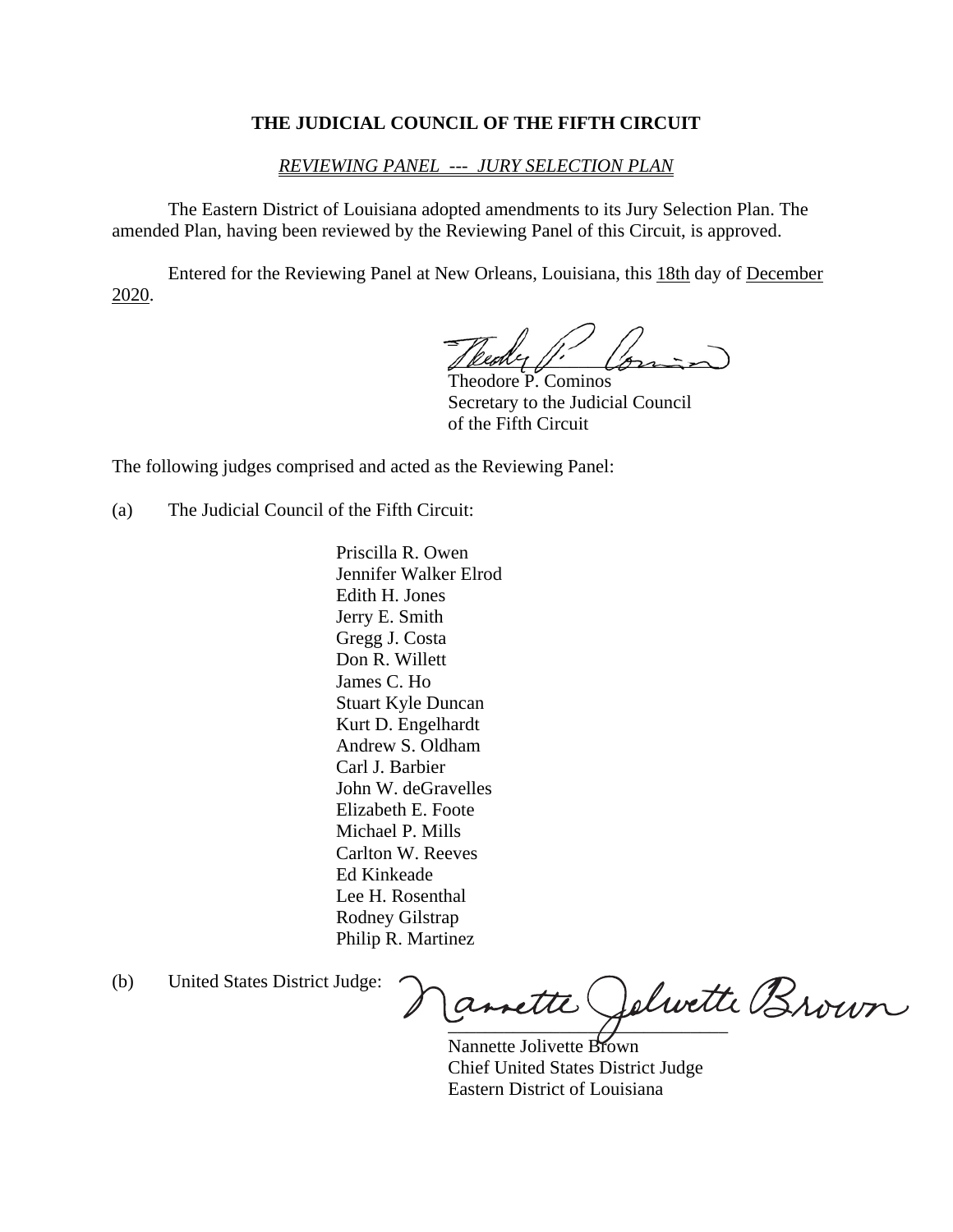## **THE JUDICIAL COUNCIL OF THE FIFTH CIRCUIT**

## *REVIEWING PANEL --- JURY SELECTION PLAN*

 The Eastern District of Louisiana adopted amendments to its Jury Selection Plan. The amended Plan, having been reviewed by the Reviewing Panel of this Circuit, is approved.

 Entered for the Reviewing Panel at New Orleans, Louisiana, this 18th day of December 2020.

 $\mathcal{L} = \{ \mathcal{L} \mid \mathcal{L} \in \mathcal{L} \}$ Teedy  $\mu'$ 

 Theodore P. Cominos Secretary to the Judicial Council of the Fifth Circuit

The following judges comprised and acted as the Reviewing Panel:

(a) The Judicial Council of the Fifth Circuit:

 Priscilla R. Owen Jennifer Walker Elrod Edith H. Jones Jerry E. Smith Gregg J. Costa Don R. Willett James C. Ho Stuart Kyle Duncan Kurt D. Engelhardt Andrew S. Oldham Carl J. Barbier John W. deGravelles Elizabeth E. Foote Michael P. Mills Carlton W. Reeves Ed Kinkeade Lee H. Rosenthal Rodney Gilstrap Philip R. Martinez

(b) United States District Judge:

 $\overline{y}$  . The same of  $\overline{y}$  and  $\overline{y}$  and  $\overline{y}$  and  $\overline{y}$  and  $\overline{y}$  and  $\overline{y}$  and  $\overline{y}$  and  $\overline{y}$  and  $\overline{y}$  and  $\overline{y}$  and  $\overline{y}$  and  $\overline{y}$  and  $\overline{y}$  and  $\overline{y}$  and  $\overline{y}$  and  $\over$ 

 Nannette Jolivette Brown Chief United States District Judge Eastern District of Louisiana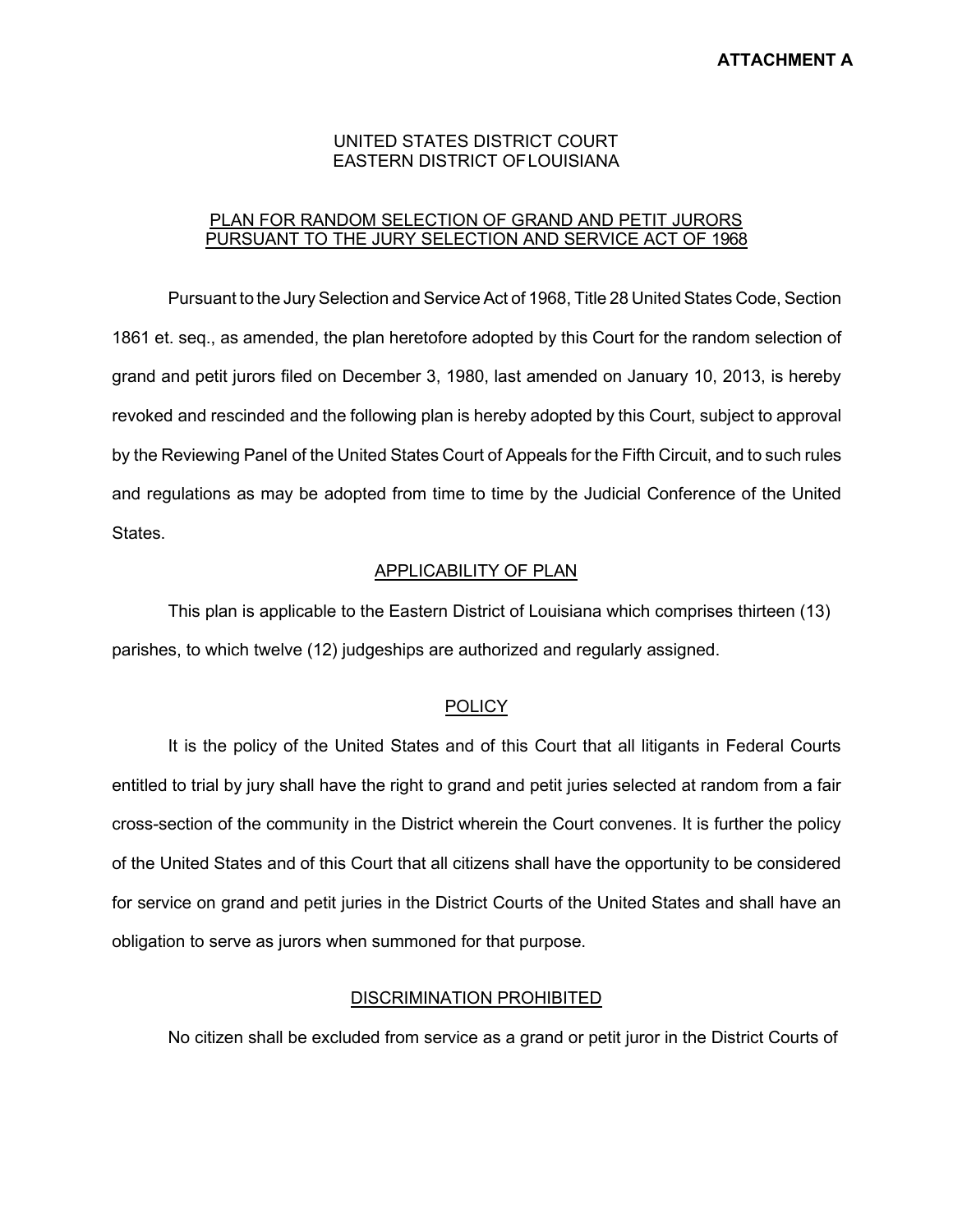## UNITED STATES DISTRICT COURT EASTERN DISTRICT OFLOUISIANA

## PLAN FOR RANDOM SELECTION OF GRAND AND PETIT JURORS PURSUANT TO THE JURY SELECTION AND SERVICE ACT OF 1968

Pursuant to the Jury Selection and Service Act of 1968, Title 28 United States Code, Section 1861 et. seq., as amended, the plan heretofore adopted by this Court for the random selection of grand and petit jurors filed on December 3, 1980, last amended on January 10, 2013, is hereby revoked and rescinded and the following plan is hereby adopted by this Court, subject to approval by the Reviewing Panel of the United States Court of Appeals for the Fifth Circuit, and to such rules and regulations as may be adopted from time to time by the Judicial Conference of the United States.

## APPLICABILITY OF PLAN

This plan is applicable to the Eastern District of Louisiana which comprises thirteen (13) parishes, to which twelve (12) judgeships are authorized and regularly assigned.

### **POLICY**

It is the policy of the United States and of this Court that all litigants in Federal Courts entitled to trial by jury shall have the right to grand and petit juries selected at random from a fair cross-section of the community in the District wherein the Court convenes. It is further the policy of the United States and of this Court that all citizens shall have the opportunity to be considered for service on grand and petit juries in the District Courts of the United States and shall have an obligation to serve as jurors when summoned for that purpose.

### DISCRIMINATION PROHIBITED

No citizen shall be excluded from service as a grand or petit juror in the District Courts of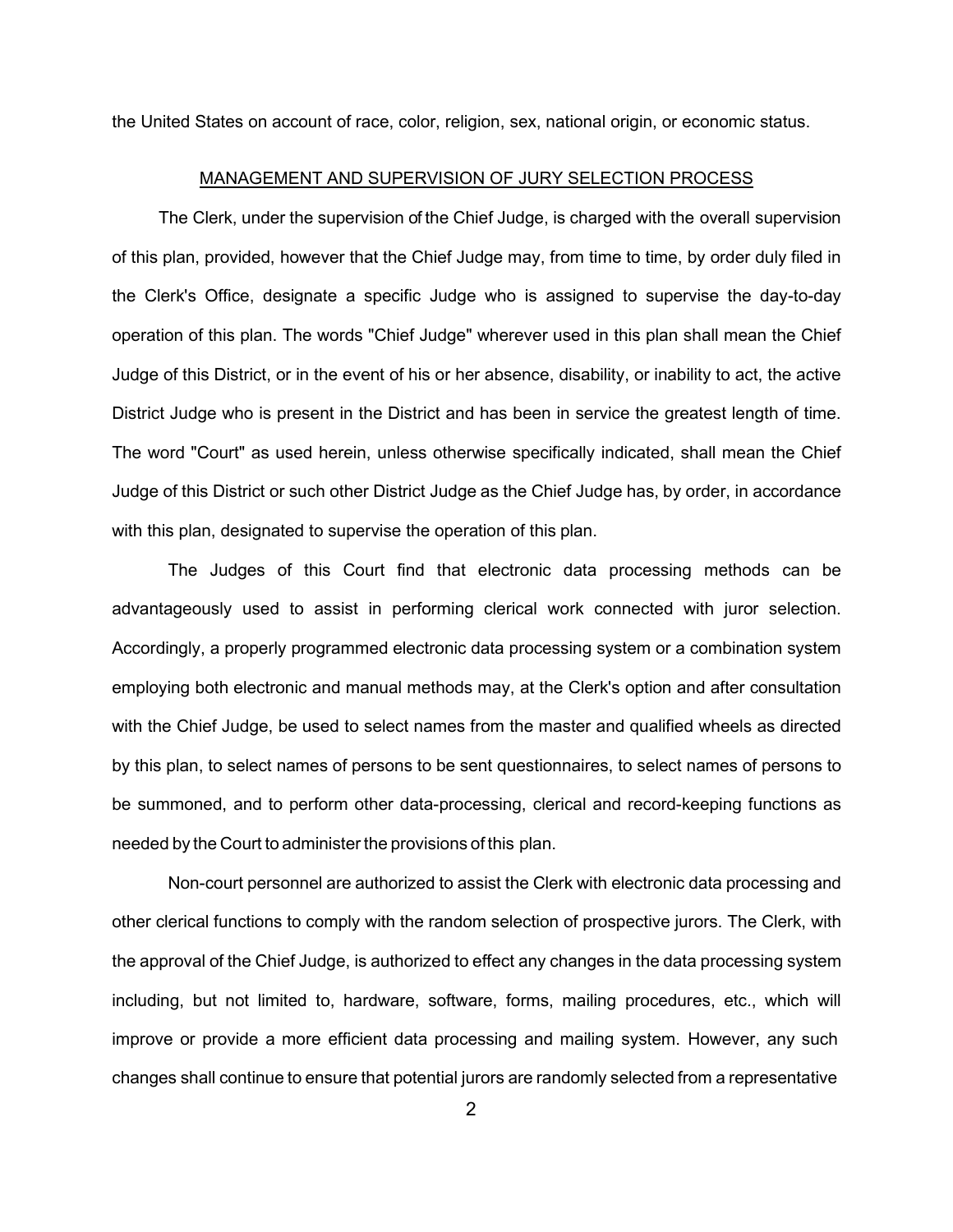the United States on account of race, color, religion, sex, national origin, or economic status.

### MANAGEMENT AND SUPERVISION OF JURY SELECTION PROCESS

The Clerk, under the supervision of the Chief Judge, is charged with the overall supervision of this plan, provided, however that the Chief Judge may, from time to time, by order duly filed in the Clerk's Office, designate a specific Judge who is assigned to supervise the day-to-day operation of this plan. The words "Chief Judge" wherever used in this plan shall mean the Chief Judge of this District, or in the event of his or her absence, disability, or inability to act, the active District Judge who is present in the District and has been in service the greatest length of time. The word "Court" as used herein, unless otherwise specifically indicated, shall mean the Chief Judge of this District or such other District Judge as the Chief Judge has, by order, in accordance with this plan, designated to supervise the operation of this plan.

The Judges of this Court find that electronic data processing methods can be advantageously used to assist in performing clerical work connected with juror selection. Accordingly, a properly programmed electronic data processing system or a combination system employing both electronic and manual methods may, at the Clerk's option and after consultation with the Chief Judge, be used to select names from the master and qualified wheels as directed by this plan, to select names of persons to be sent questionnaires, to select names of persons to be summoned, and to perform other data-processing, clerical and record-keeping functions as needed by the Court to administer the provisions of this plan.

Non-court personnel are authorized to assist the Clerk with electronic data processing and other clerical functions to comply with the random selection of prospective jurors. The Clerk, with the approval of the Chief Judge, is authorized to effect any changes in the data processing system including, but not limited to, hardware, software, forms, mailing procedures, etc., which will improve or provide a more efficient data processing and mailing system. However, any such changes shall continue to ensure that potential jurors are randomly selected from a representative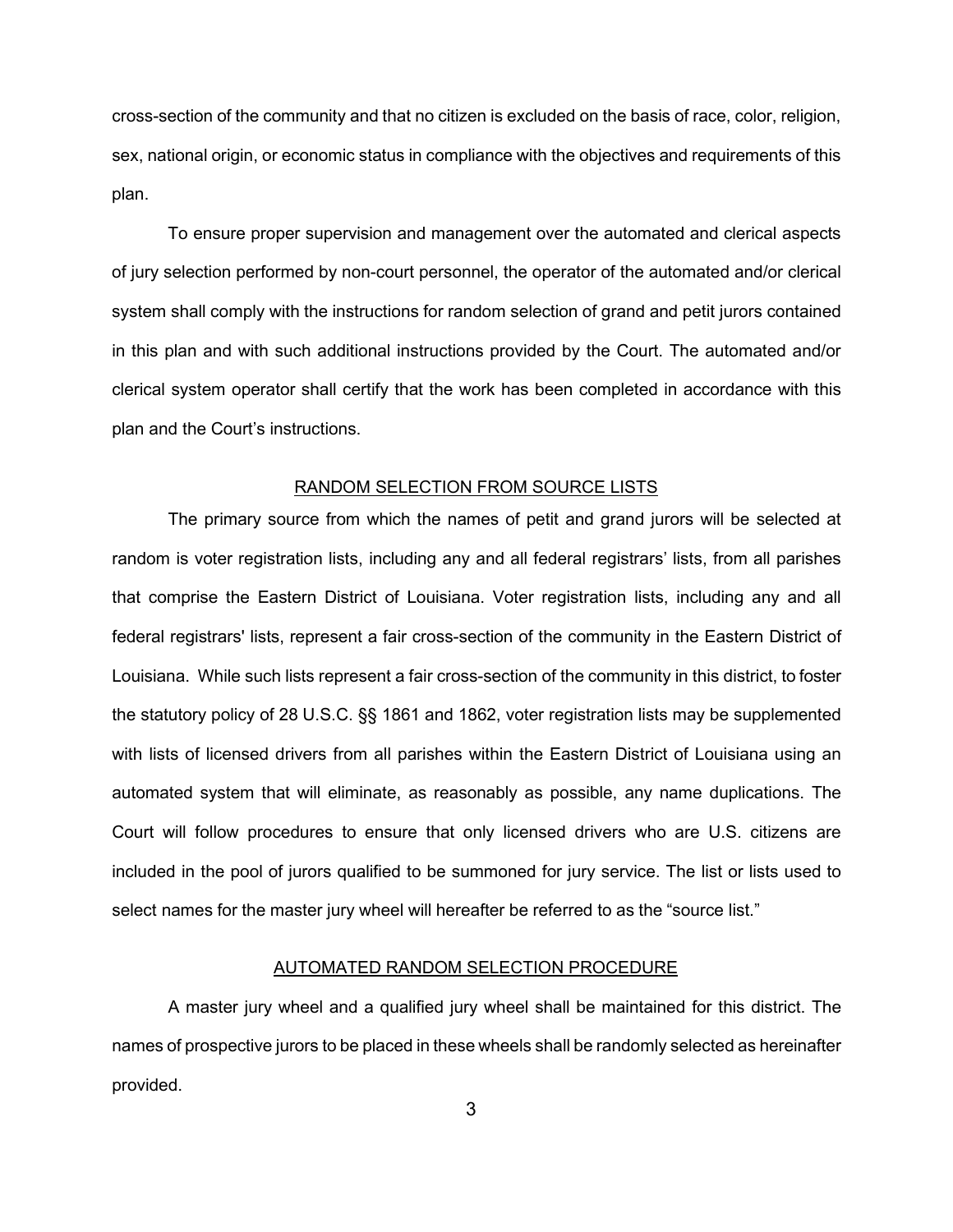cross-section of the community and that no citizen is excluded on the basis of race, color, religion, sex, national origin, or economic status in compliance with the objectives and requirements of this plan.

To ensure proper supervision and management over the automated and clerical aspects of jury selection performed by non-court personnel, the operator of the automated and/or clerical system shall comply with the instructions for random selection of grand and petit jurors contained in this plan and with such additional instructions provided by the Court. The automated and/or clerical system operator shall certify that the work has been completed in accordance with this plan and the Court's instructions.

## RANDOM SELECTION FROM SOURCE LISTS

The primary source from which the names of petit and grand jurors will be selected at random is voter registration lists, including any and all federal registrars' lists, from all parishes that comprise the Eastern District of Louisiana. Voter registration lists, including any and all federal registrars' lists, represent a fair cross-section of the community in the Eastern District of Louisiana. While such lists represent a fair cross-section of the community in this district, to foster the statutory policy of 28 U.S.C. §§ 1861 and 1862, voter registration lists may be supplemented with lists of licensed drivers from all parishes within the Eastern District of Louisiana using an automated system that will eliminate, as reasonably as possible, any name duplications. The Court will follow procedures to ensure that only licensed drivers who are U.S. citizens are included in the pool of jurors qualified to be summoned for jury service. The list or lists used to select names for the master jury wheel will hereafter be referred to as the "source list."

## AUTOMATED RANDOM SELECTION PROCEDURE

A master jury wheel and a qualified jury wheel shall be maintained for this district. The names of prospective jurors to be placed in these wheels shall be randomly selected as hereinafter provided.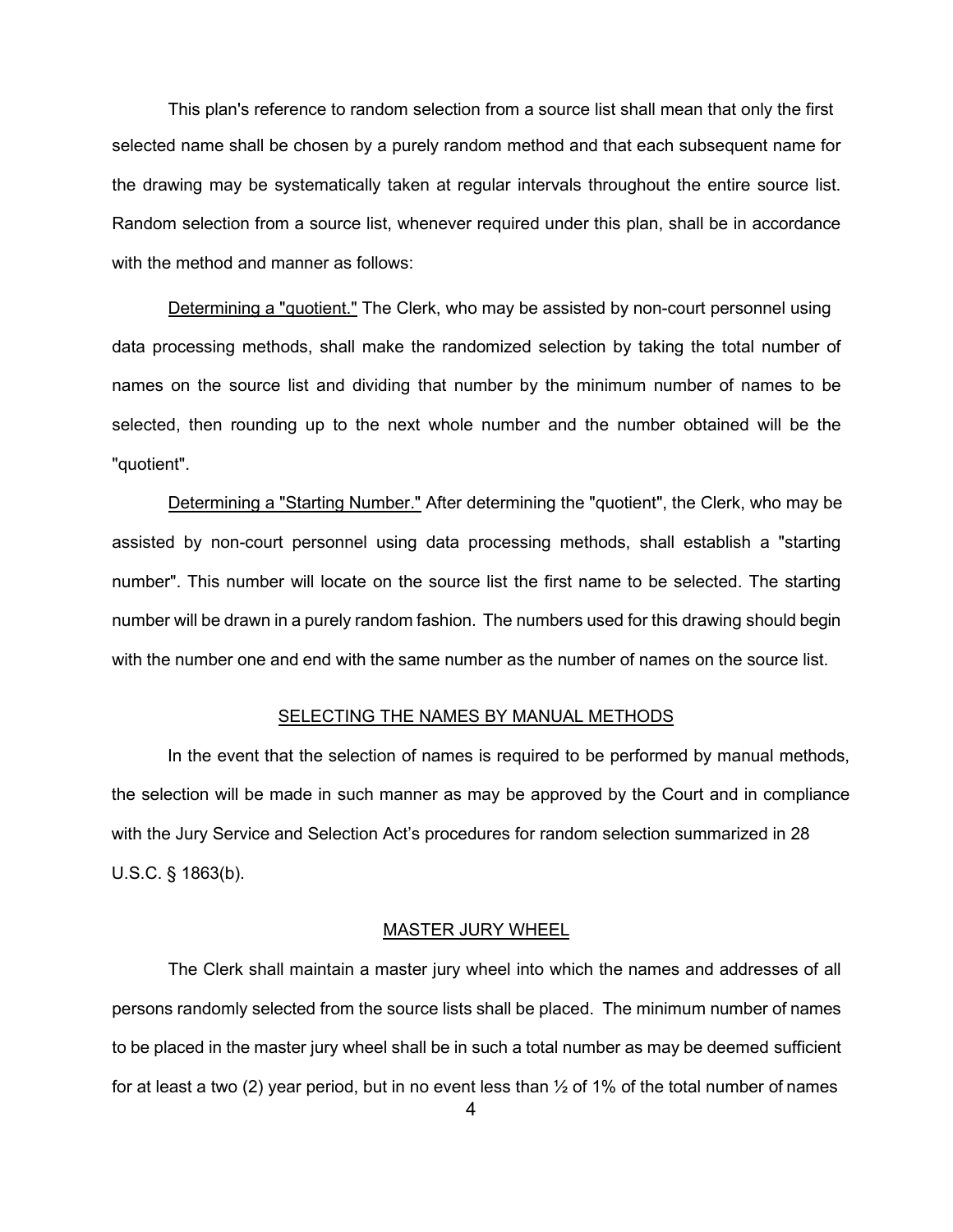This plan's reference to random selection from a source list shall mean that only the first selected name shall be chosen by a purely random method and that each subsequent name for the drawing may be systematically taken at regular intervals throughout the entire source list. Random selection from a source list, whenever required under this plan, shall be in accordance with the method and manner as follows:

Determining a "quotient." The Clerk, who may be assisted by non-court personnel using data processing methods, shall make the randomized selection by taking the total number of names on the source list and dividing that number by the minimum number of names to be selected, then rounding up to the next whole number and the number obtained will be the "quotient".

Determining a "Starting Number." After determining the "quotient", the Clerk, who may be assisted by non-court personnel using data processing methods, shall establish a "starting number". This number will locate on the source list the first name to be selected. The starting number will be drawn in a purely random fashion. The numbers used for this drawing should begin with the number one and end with the same number as the number of names on the source list.

#### SELECTING THE NAMES BY MANUAL METHODS

In the event that the selection of names is required to be performed by manual methods, the selection will be made in such manner as may be approved by the Court and in compliance with the Jury Service and Selection Act's procedures for random selection summarized in 28 U.S.C. § 1863(b).

## MASTER JURY WHEEL

The Clerk shall maintain a master jury wheel into which the names and addresses of all persons randomly selected from the source lists shall be placed. The minimum number of names to be placed in the master jury wheel shall be in such a total number as may be deemed sufficient for at least a two (2) year period, but in no event less than  $\frac{1}{2}$  of 1% of the total number of names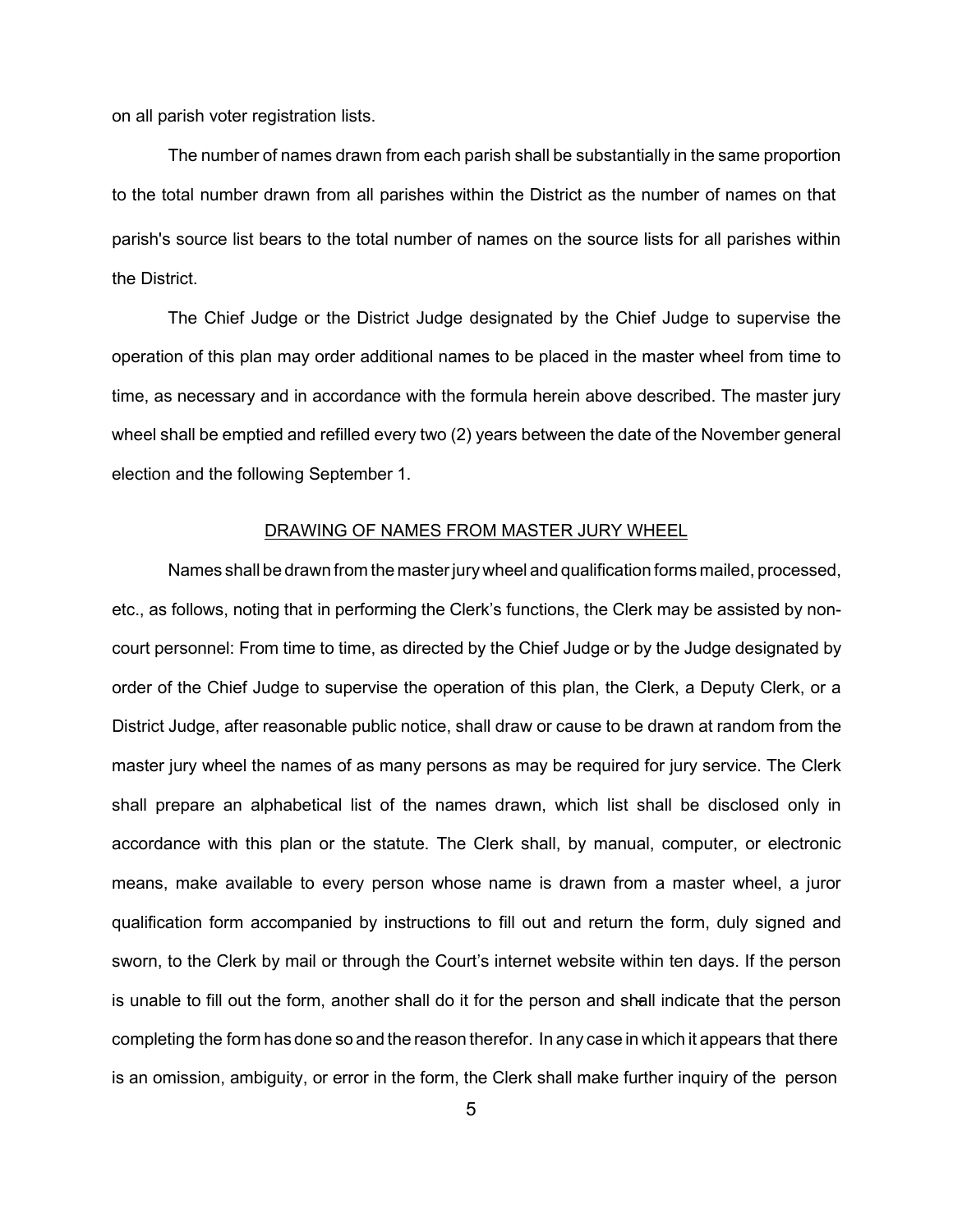on all parish voter registration lists.

The number of names drawn from each parish shall be substantially in the same proportion to the total number drawn from all parishes within the District as the number of names on that parish's source list bears to the total number of names on the source lists for all parishes within the District.

The Chief Judge or the District Judge designated by the Chief Judge to supervise the operation of this plan may order additional names to be placed in the master wheel from time to time, as necessary and in accordance with the formula herein above described. The master jury wheel shall be emptied and refilled every two (2) years between the date of the November general election and the following September 1.

### DRAWING OF NAMES FROM MASTER JURY WHEEL

Names shall be drawn from the masterjury wheel and qualification forms mailed, processed, etc., as follows, noting that in performing the Clerk's functions, the Clerk may be assisted by noncourt personnel: From time to time, as directed by the Chief Judge or by the Judge designated by order of the Chief Judge to supervise the operation of this plan, the Clerk, a Deputy Clerk, or a District Judge, after reasonable public notice, shall draw or cause to be drawn at random from the master jury wheel the names of as many persons as may be required for jury service. The Clerk shall prepare an alphabetical list of the names drawn, which list shall be disclosed only in accordance with this plan or the statute. The Clerk shall, by manual, computer, or electronic means, make available to every person whose name is drawn from a master wheel, a juror qualification form accompanied by instructions to fill out and return the form, duly signed and sworn, to the Clerk by mail or through the Court's internet website within ten days. If the person is unable to fill out the form, another shall do it for the person and shall indicate that the person completing the form has done so and the reason therefor. In any case in which it appears that there is an omission, ambiguity, or error in the form, the Clerk shall make further inquiry of the person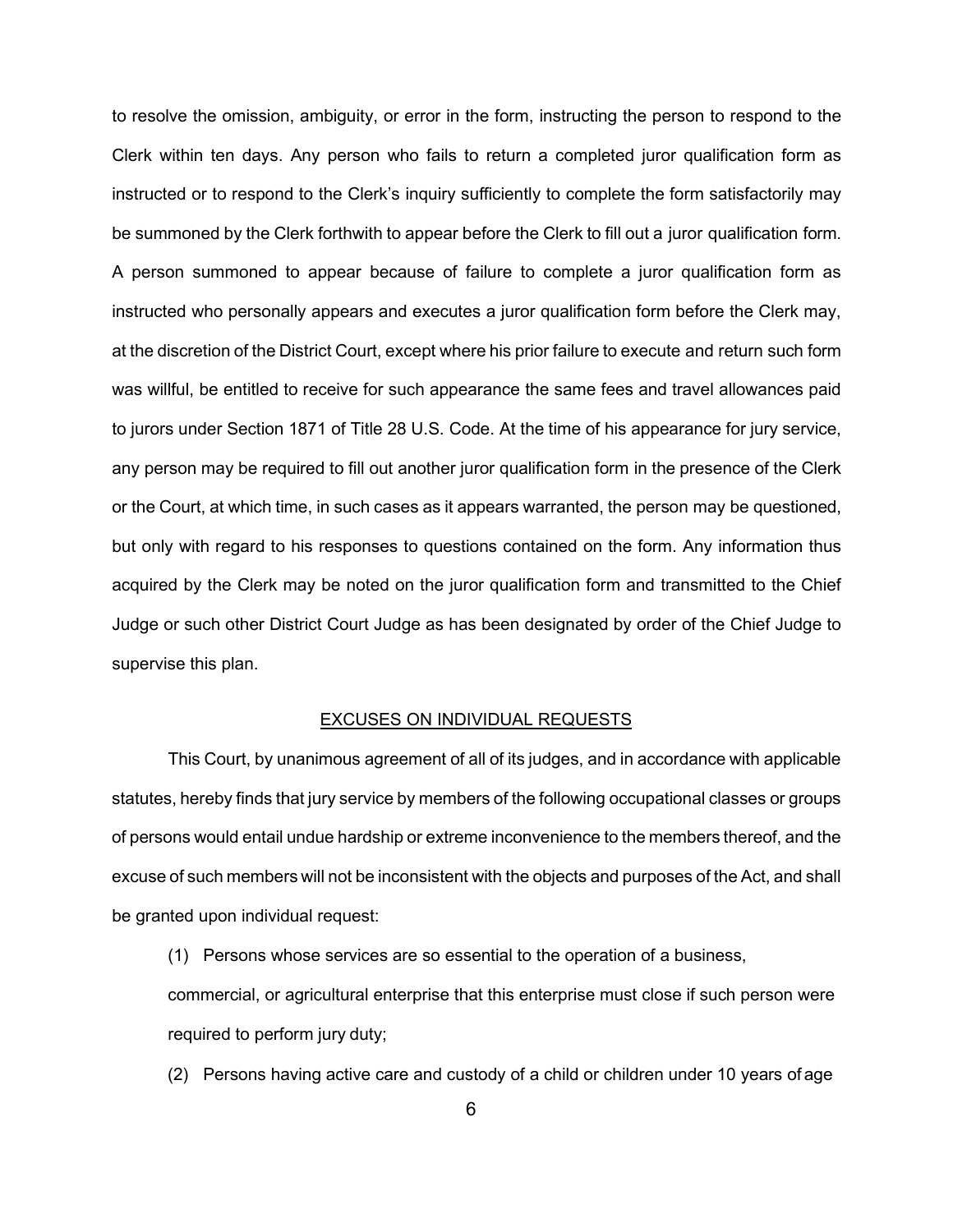to resolve the omission, ambiguity, or error in the form, instructing the person to respond to the Clerk within ten days. Any person who fails to return a completed juror qualification form as instructed or to respond to the Clerk's inquiry sufficiently to complete the form satisfactorily may be summoned by the Clerk forthwith to appear before the Clerk to fill out a juror qualification form. A person summoned to appear because of failure to complete a juror qualification form as instructed who personally appears and executes a juror qualification form before the Clerk may, at the discretion of the District Court, except where his prior failure to execute and return such form was willful, be entitled to receive for such appearance the same fees and travel allowances paid to jurors under Section 1871 of Title 28 U.S. Code. At the time of his appearance for jury service, any person may be required to fill out another juror qualification form in the presence of the Clerk or the Court, at which time, in such cases as it appears warranted, the person may be questioned, but only with regard to his responses to questions contained on the form. Any information thus acquired by the Clerk may be noted on the juror qualification form and transmitted to the Chief Judge or such other District Court Judge as has been designated by order of the Chief Judge to supervise this plan.

### EXCUSES ON INDIVIDUAL REQUESTS

This Court, by unanimous agreement of all of its judges, and in accordance with applicable statutes, hereby finds that jury service by members of the following occupational classes or groups of persons would entail undue hardship or extreme inconvenience to the members thereof, and the excuse of such members will not be inconsistent with the objects and purposes of the Act, and shall be granted upon individual request:

(1) Persons whose services are so essential to the operation of a business, commercial, or agricultural enterprise that this enterprise must close if such person were required to perform jury duty;

(2) Persons having active care and custody of a child or children under 10 years of age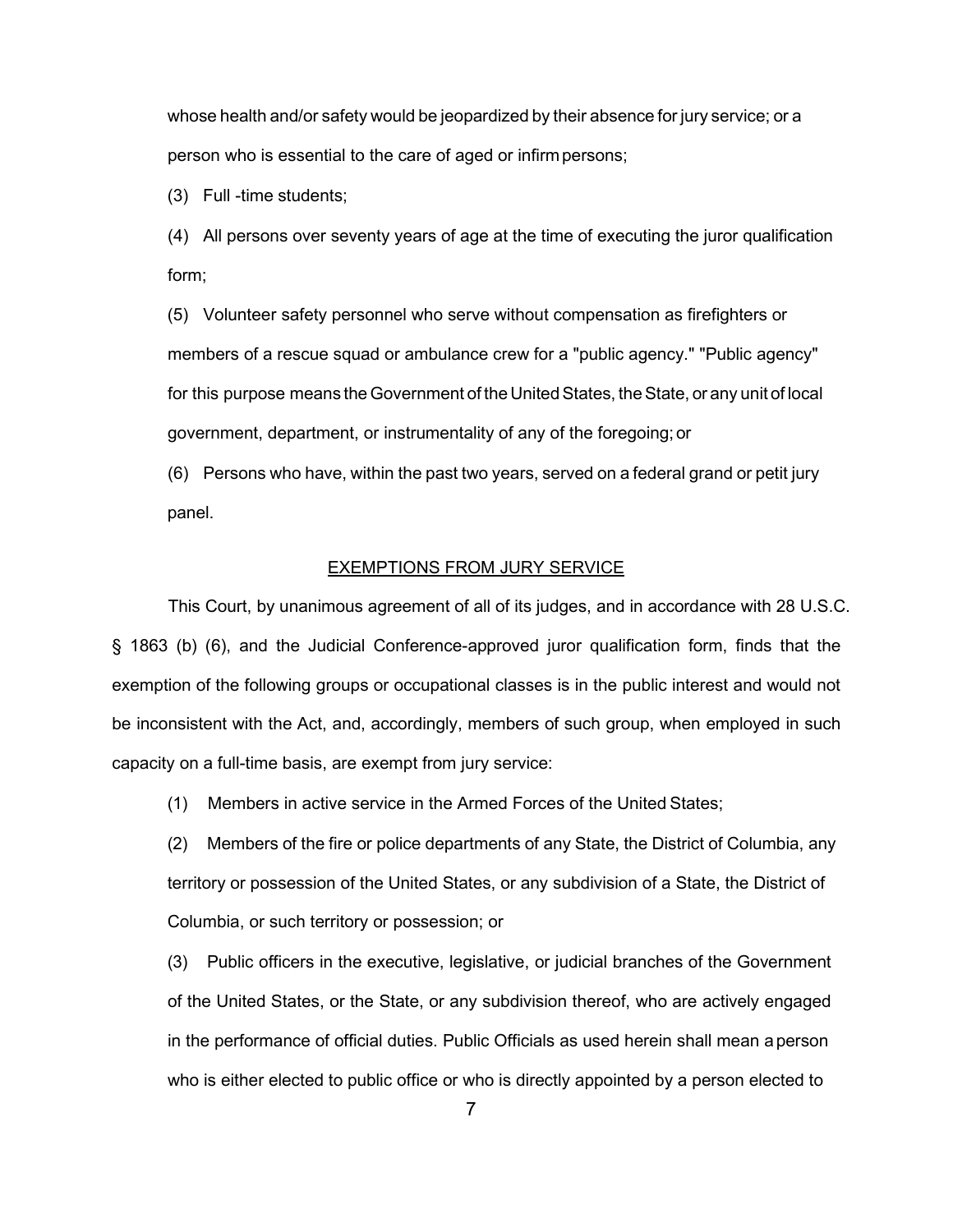whose health and/or safety would be jeopardized by their absence for jury service; or a person who is essential to the care of aged or infirmpersons;

(3) Full -time students;

(4) All persons over seventy years of age at the time of executing the juror qualification form;

(5) Volunteer safety personnel who serve without compensation as firefighters or members of a rescue squad or ambulance crew for a "public agency." "Public agency" for this purpose means the Government of the United States, the State, or any unit of local government, department, or instrumentality of any of the foregoing;or

(6) Persons who have, within the past two years, served on a federal grand or petit jury panel.

### EXEMPTIONS FROM JURY SERVICE

This Court, by unanimous agreement of all of its judges, and in accordance with 28 U.S.C. § 1863 (b) (6), and the Judicial Conference-approved juror qualification form, finds that the exemption of the following groups or occupational classes is in the public interest and would not be inconsistent with the Act, and, accordingly, members of such group, when employed in such capacity on a full-time basis, are exempt from jury service:

(1) Members in active service in the Armed Forces of the United States;

(2) Members of the fire or police departments of any State, the District of Columbia, any territory or possession of the United States, or any subdivision of a State, the District of Columbia, or such territory or possession; or

(3) Public officers in the executive, legislative, or judicial branches of the Government of the United States, or the State, or any subdivision thereof, who are actively engaged in the performance of official duties. Public Officials as used herein shall mean aperson who is either elected to public office or who is directly appointed by a person elected to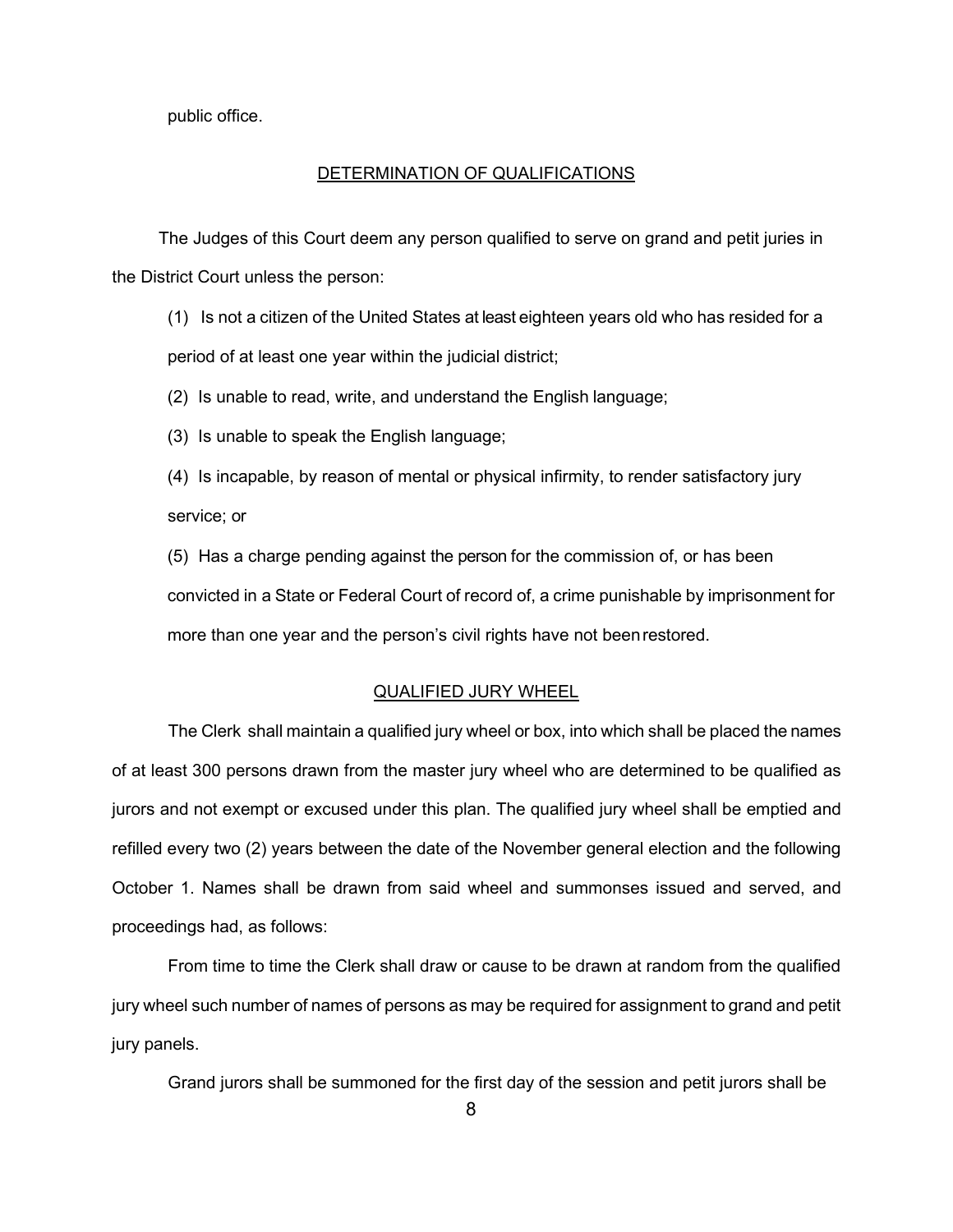public office.

### DETERMINATION OF QUALIFICATIONS

The Judges of this Court deem any person qualified to serve on grand and petit juries in the District Court unless the person:

- (1) Is not a citizen of the United States at least eighteen years old who has resided for a period of at least one year within the judicial district;
- (2) Is unable to read, write, and understand the English language;
- (3) Is unable to speak the English language;
- (4) Is incapable, by reason of mental or physical infirmity, to render satisfactory jury service; or

(5) Has a charge pending against the person for the commission of, or has been convicted in a State or Federal Court of record of, a crime punishable by imprisonment for more than one year and the person's civil rights have not beenrestored.

### QUALIFIED JURY WHEEL

The Clerk shall maintain a qualified jury wheel or box, into which shall be placed the names of at least 300 persons drawn from the master jury wheel who are determined to be qualified as jurors and not exempt or excused under this plan. The qualified jury wheel shall be emptied and refilled every two (2) years between the date of the November general election and the following October 1. Names shall be drawn from said wheel and summonses issued and served, and proceedings had, as follows:

From time to time the Clerk shall draw or cause to be drawn at random from the qualified jury wheel such number of names of persons as may be required for assignment to grand and petit jury panels.

Grand jurors shall be summoned for the first day of the session and petit jurors shall be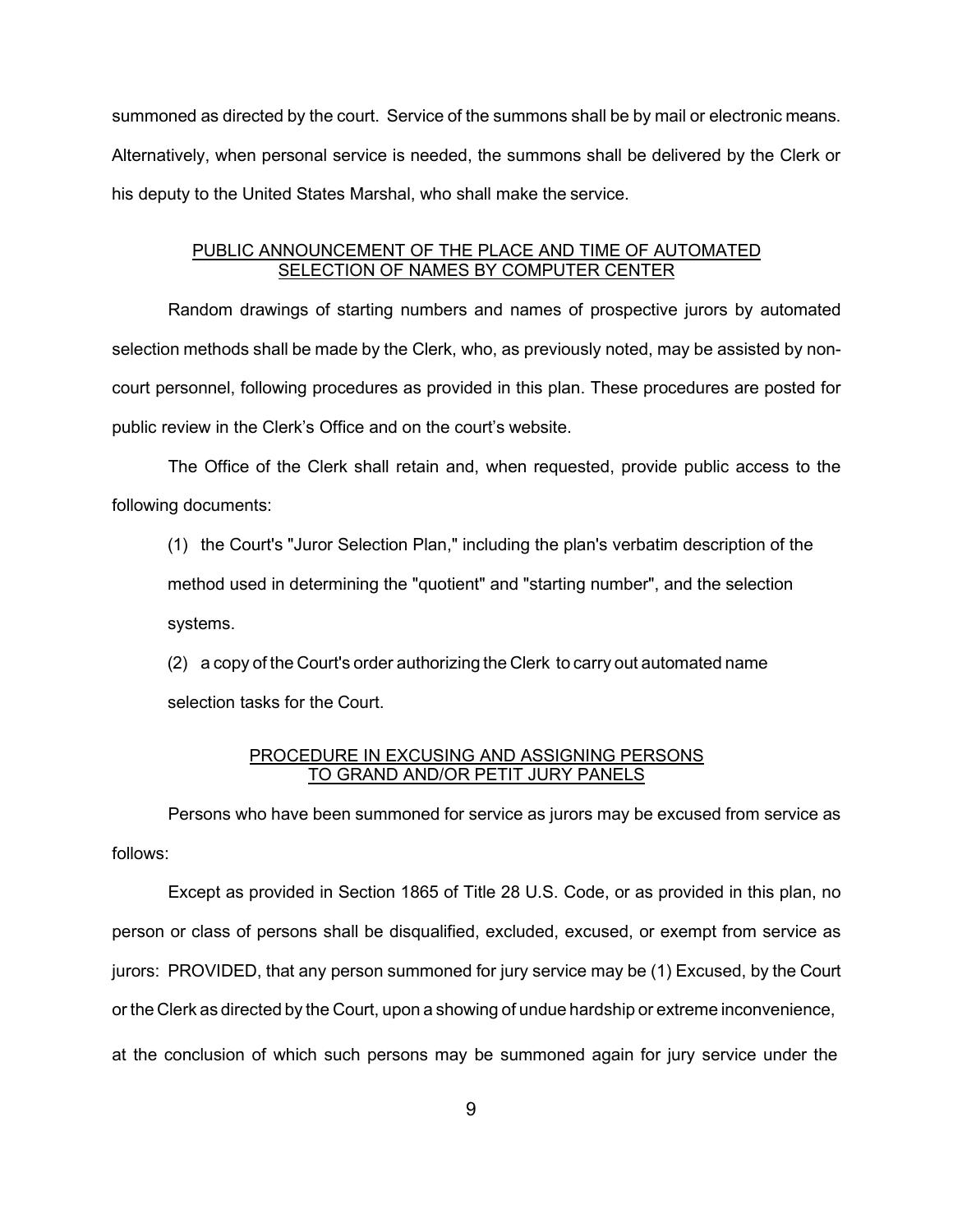summoned as directed by the court. Service of the summons shall be by mail or electronic means. Alternatively, when personal service is needed, the summons shall be delivered by the Clerk or his deputy to the United States Marshal, who shall make the service.

## PUBLIC ANNOUNCEMENT OF THE PLACE AND TIME OF AUTOMATED SELECTION OF NAMES BY COMPUTER CENTER

Random drawings of starting numbers and names of prospective jurors by automated selection methods shall be made by the Clerk, who, as previously noted, may be assisted by noncourt personnel, following procedures as provided in this plan. These procedures are posted for public review in the Clerk's Office and on the court's website.

The Office of the Clerk shall retain and, when requested, provide public access to the following documents:

(1) the Court's "Juror Selection Plan," including the plan's verbatim description of the method used in determining the "quotient" and "starting number", and the selection systems.

(2) a copy of the Court's order authorizing the Clerk to carry out automated name selection tasks for the Court.

## PROCEDURE IN EXCUSING AND ASSIGNING PERSONS TO GRAND AND/OR PETIT JURY PANELS

Persons who have been summoned for service as jurors may be excused from service as follows:

Except as provided in Section 1865 of Title 28 U.S. Code, or as provided in this plan, no person or class of persons shall be disqualified, excluded, excused, or exempt from service as jurors: PROVIDED, that any person summoned for jury service may be (1) Excused, by the Court or the Clerk as directed by the Court, upon a showing of undue hardship or extreme inconvenience, at the conclusion of which such persons may be summoned again for jury service under the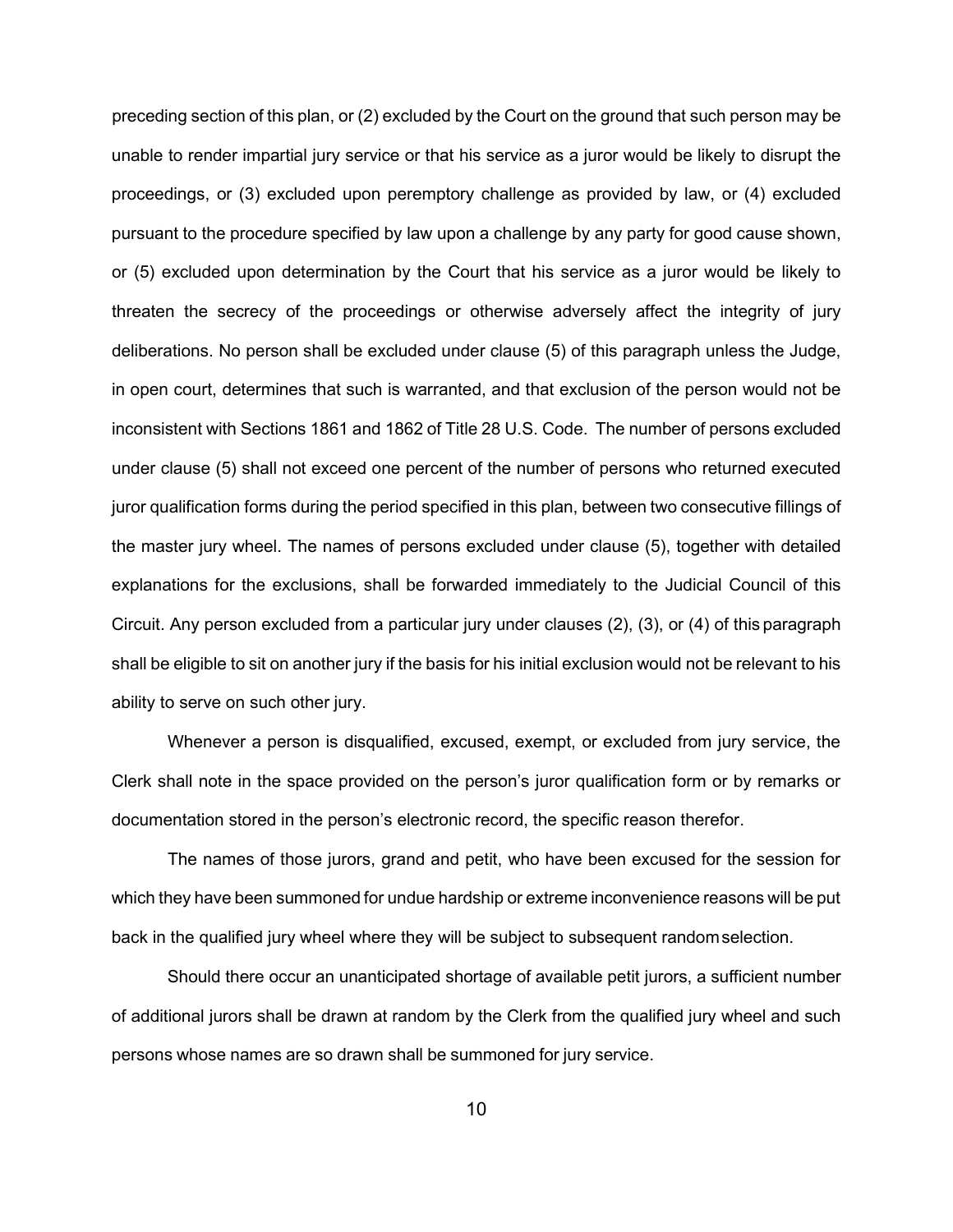preceding section of this plan, or (2) excluded by the Court on the ground that such person may be unable to render impartial jury service or that his service as a juror would be likely to disrupt the proceedings, or (3) excluded upon peremptory challenge as provided by law, or (4) excluded pursuant to the procedure specified by law upon a challenge by any party for good cause shown, or (5) excluded upon determination by the Court that his service as a juror would be likely to threaten the secrecy of the proceedings or otherwise adversely affect the integrity of jury deliberations. No person shall be excluded under clause (5) of this paragraph unless the Judge, in open court, determines that such is warranted, and that exclusion of the person would not be inconsistent with Sections 1861 and 1862 of Title 28 U.S. Code. The number of persons excluded under clause (5) shall not exceed one percent of the number of persons who returned executed juror qualification forms during the period specified in this plan, between two consecutive fillings of the master jury wheel. The names of persons excluded under clause (5), together with detailed explanations for the exclusions, shall be forwarded immediately to the Judicial Council of this Circuit. Any person excluded from a particular jury under clauses (2), (3), or (4) of this paragraph shall be eligible to sit on another jury if the basis for his initial exclusion would not be relevant to his ability to serve on such other jury.

Whenever a person is disqualified, excused, exempt, or excluded from jury service, the Clerk shall note in the space provided on the person's juror qualification form or by remarks or documentation stored in the person's electronic record, the specific reason therefor.

The names of those jurors, grand and petit, who have been excused for the session for which they have been summoned for undue hardship or extreme inconvenience reasons will be put back in the qualified jury wheel where they will be subject to subsequent randomselection.

Should there occur an unanticipated shortage of available petit jurors, a sufficient number of additional jurors shall be drawn at random by the Clerk from the qualified jury wheel and such persons whose names are so drawn shall be summoned for jury service.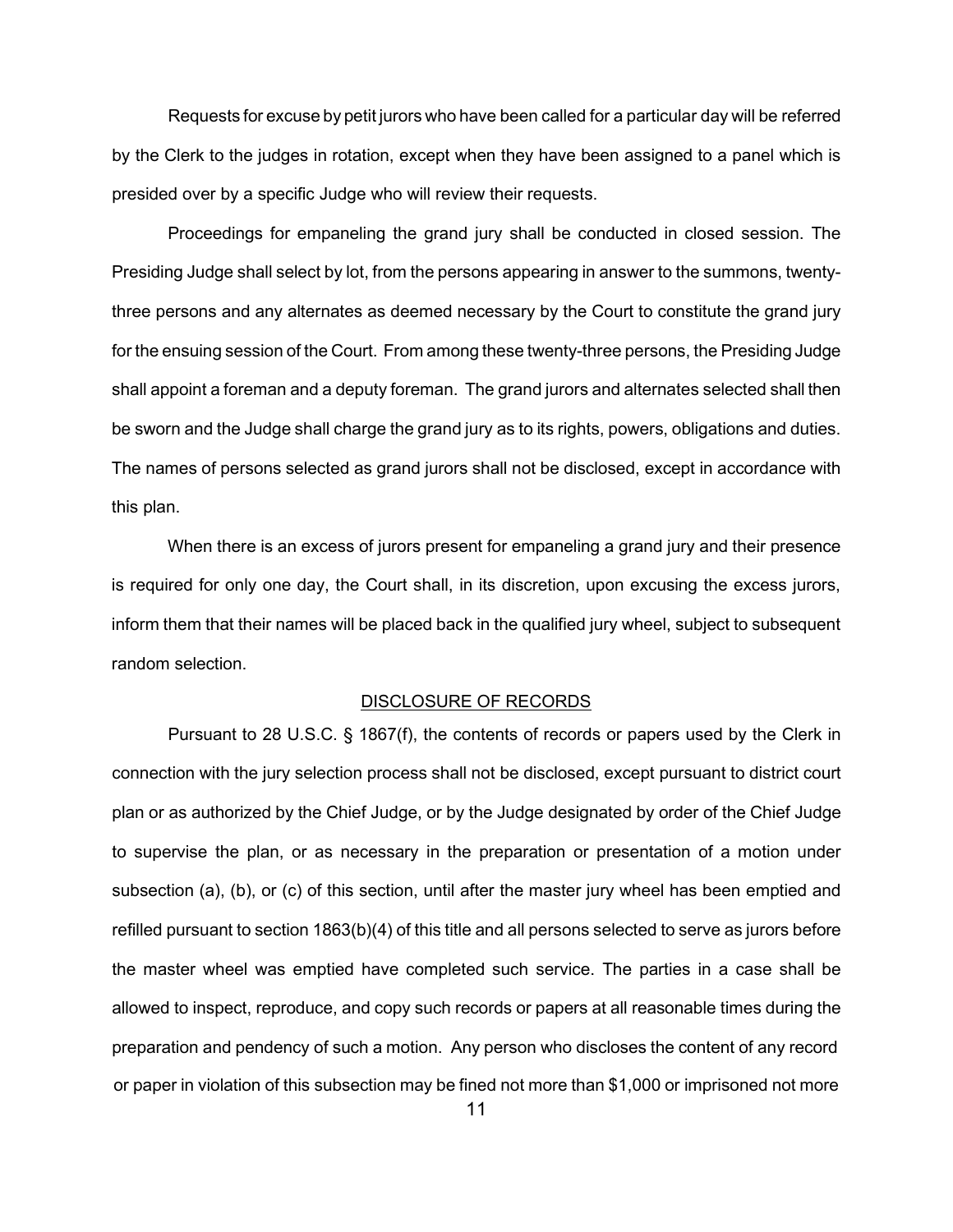Requests for excuse by petit jurors who have been called for a particular day will be referred by the Clerk to the judges in rotation, except when they have been assigned to a panel which is presided over by a specific Judge who will review their requests.

Proceedings for empaneling the grand jury shall be conducted in closed session. The Presiding Judge shall select by lot, from the persons appearing in answer to the summons, twentythree persons and any alternates as deemed necessary by the Court to constitute the grand jury for the ensuing session of the Court. From among these twenty-three persons, the Presiding Judge shall appoint a foreman and a deputy foreman. The grand jurors and alternates selected shall then be sworn and the Judge shall charge the grand jury as to its rights, powers, obligations and duties. The names of persons selected as grand jurors shall not be disclosed, except in accordance with this plan.

When there is an excess of jurors present for empaneling a grand jury and their presence is required for only one day, the Court shall, in its discretion, upon excusing the excess jurors, inform them that their names will be placed back in the qualified jury wheel, subject to subsequent random selection.

## DISCLOSURE OF RECORDS

Pursuant to 28 U.S.C. § 1867(f), the contents of records or papers used by the Clerk in connection with the jury selection process shall not be disclosed, except pursuant to district court plan or as authorized by the Chief Judge, or by the Judge designated by order of the Chief Judge to supervise the plan, or as necessary in the preparation or presentation of a motion under subsection (a), (b), or (c) of this section, until after the master jury wheel has been emptied and refilled pursuant to section 1863(b)(4) of this title and all persons selected to serve as jurors before the master wheel was emptied have completed such service. The parties in a case shall be allowed to inspect, reproduce, and copy such records or papers at all reasonable times during the preparation and pendency of such a motion. Any person who discloses the content of any record or paper in violation of this subsection may be fined not more than \$1,000 or imprisoned not more